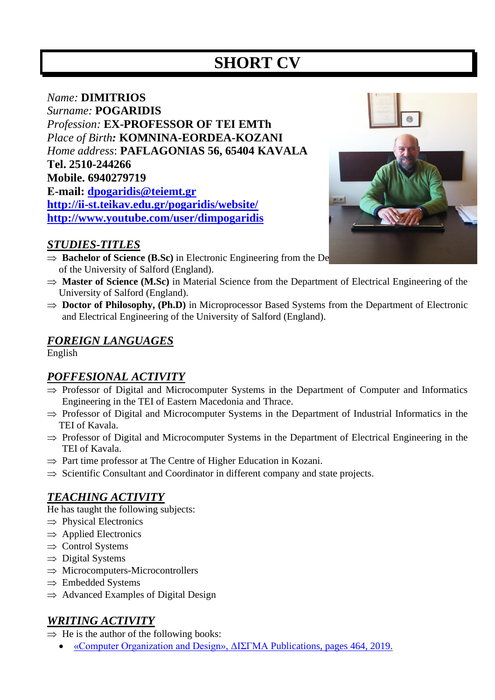# **SHORT CV**

# *Name:* **DIMITRIOS** *Surname:* **POGARIDIS** *Profession:* **EX-PROFESSOR OF ΤΕΙ EMTh** *Place of Birth:* **KOMNINA-EORDEA-KOZANI** *Home address*: **PAFLAGONIAS 56, 65404 ΚAVALA Τel. 2510-244266 Mobile. 6940279719 Ε-mail: [dpogaridis@teiemt.gr](mailto:dpogaridis@teiemt.gr) <http://ii-st.teikav.edu.gr/pogaridis/website/> <http://www.youtube.com/user/dimpogaridis>**

#### *STUDIES-TITLES*

- $\Rightarrow$  **Bachelor of Science (B.Sc)** in Electronic Engineering from the De of the University of Salford (England).
- $\Rightarrow$  **Master of Science (M.Sc)** in Material Science from the Department of Electrical Engineering of the University of Salford (England).
- $\Rightarrow$  **Doctor of Philosophy, (Ph.D)** in Microprocessor Based Systems from the Department of Electronic and Electrical Engineering of the University of Salford (England).

#### *FOREIGN LANGUAGES*

English

# *POFFESIONAL ACTIVITY*

- $\Rightarrow$  Professor of Digital and Microcomputer Systems in the Department of Computer and Informatics Engineering in the TEI of Eastern Macedonia and Thrace.
- $\Rightarrow$  Professor of Digital and Microcomputer Systems in the Department of Industrial Informatics in the TEI of Kavala.
- $\Rightarrow$  Professor of Digital and Microcomputer Systems in the Department of Electrical Engineering in the TEI of Kavala.
- $\Rightarrow$  Part time professor at The Centre of Higher Education in Kozani.
- $\Rightarrow$  Scientific Consultant and Coordinator in different company and state projects.

# *TEACHING ACTIVITY*

He has taught the following subjects:

- $\Rightarrow$  Physical Electronics
- $\Rightarrow$  Applied Electronics
- $\Rightarrow$  Control Systems
- $\Rightarrow$  Digital Systems
- $\Rightarrow$  Microcomputers-Microcontrollers
- $\Rightarrow$  Embedded Systems
- $\Rightarrow$  Advanced Examples of Digital Design

#### *WRITING ACTIVITY*

- $\Rightarrow$  He is the author of the following books:
	- [«Computer Organization and Design», ΔΙΣΓΜΑ](https://www.disigma.gr/authors/pogaridis-dimitrios/organosi-ypologiston.html) Publications, pages 464, 2019.

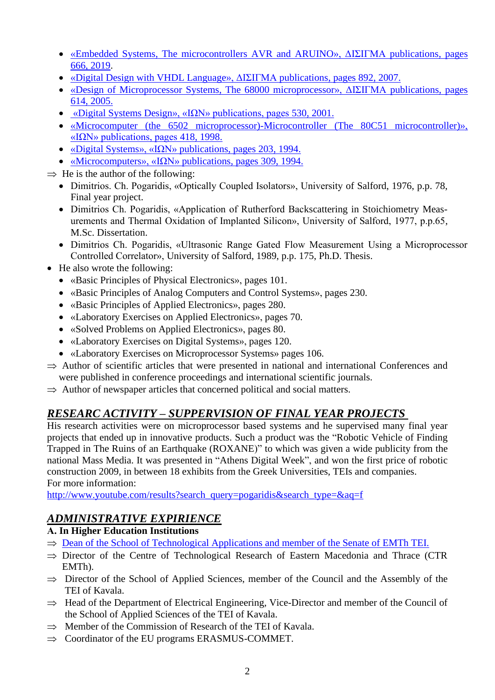- [«Embedded Systems, The microcontrollers](https://www.disigma.gr/vivlia/engineers/ensomatomena-systimata.html) AVR and ARUINO», ΔΙΣΙΓΜΑ publications, pages [666, 2019.](https://www.disigma.gr/vivlia/engineers/ensomatomena-systimata.html)
- [«Digital Design with VHDL Language», ΔΙΣΙΓΜΑ](https://www.disigma.gr/vivlia/engineers/electronics-engineers/psifiaki-sxediasi-me-vhdl.html) publications, pages 892, 2007.
- «Design of Microprocessor [Systems, The 68000 microprocessor», ΔΙΣΙΓΜΑ](https://www.disigma.gr/authors/pogaridis-dimitrios/sxediash-systhmatvn-mikroepejergaston.html) publications, pages [614, 2005.](https://www.disigma.gr/authors/pogaridis-dimitrios/sxediash-systhmatvn-mikroepejergaston.html)
- [«Digital Systems Design», «ΙΩΝ» publications, pages 530, 2001.](http://www.iwn.gr/product.asp?catid=12707)
- «Microcomputer [\(the 6502 microprocessor\)-Microcontroller](http://www.iwn.gr/product.asp?catid=12822) (The 80C51 microcontroller)», [«ΙΩΝ» publications, pages 418, 1998.](http://www.iwn.gr/product.asp?catid=12822)
- [«Digital Systems», «ΙΩΝ»](https://www.ebooks.gr/gr/%CF%88%CE%B7%CF%86%CE%B9%CE%B1%CE%BA%CE%B1-%CF%83%CF%85%CF%83%CF%84%CE%B7%CE%BC%CE%B1%CF%84%CE%B1-266536.html) publications, pages 203, 1994.
- «Microcomputers», « $\Omega$ N» publications, pages 309, 1994.
- $\Rightarrow$  He is the author of the following:
	- Dimitrios. Ch. Pogaridis, «Optically Coupled Isolators», University of Salford, 1976, p.p. 78, Final year project.
	- Dimitrios Ch. Pogaridis, «Application of Rutherford Backscattering in Stoichiometry Measurements and Thermal Oxidation of Implanted Silicon», University of Salford, 1977, p.p.65, M.Sc. Dissertation.
	- Dimitrios Ch. Pogaridis, «Ultrasonic Range Gated Flow Measurement Using a Microprocessor Controlled Correlator», University of Salford, 1989, p.p. 175, Ph.D. Thesis.
- He also wrote the following:
	- «Basic Principles of Physical Electronics», pages 101.
	- «Basic Principles of Analog Computers and Control Systems», pages 230.
	- «Basic Principles of Applied Electronics», pages 280.
	- «Laboratory Exercises on Applied Electronics», pages 70.
	- «Solved Problems on Applied Electronics», pages 80.
	- «Laboratory Exercises on Digital Systems», pages 120.
	- «Laboratory Exercises on Microprocessor Systems» pages 106.
- $\Rightarrow$  Author of scientific articles that were presented in national and international Conferences and were published in conference proceedings and international scientific journals.
- $\Rightarrow$  Author of newspaper articles that concerned political and social matters.

# *RESEARC ACTIVITY – SUPPERVISION OF FINAL YEAR PROJECTS*

His research activities were on microprocessor based systems and he supervised many final year projects that ended up in innovative products. Such a product was the "Robotic Vehicle of Finding Trapped in The Ruins of an Earthquake (ROXANE)" to which was given a wide publicity from the national Mass Media. It was presented in "Athens Digital Week", and won the first price of robotic construction 2009, in between 18 exhibits from the Greek Universities, TEIs and companies. For more information:

[http://www.youtube.com/results?search\\_query=pogaridis&search\\_type=&aq=f](http://www.youtube.com/results?search_query=pogaridis&search_type=&aq=f)

# *ADMINISTRATIVE EXPIRIENCE*

#### **Α. In Higher Education Institutions**

- $\Rightarrow$  [Dean of the School of Technological Applications and member of the Senate of EMTh TEI.](https://www.facebook.com/photo.php?fbid=1135552273247908&set=pcb.1135555326580936&type=3&theater)
- $\Rightarrow$  Director of the Centre of Technological Research of Eastern Macedonia and Thrace (CTR [EMTh\).](http://ctr-emth.teikav.edu.gr/)
- $\Rightarrow$  Director of the School of Applied Sciences, member of the Council and the Assembly of the TEI of Kavala.
- $\Rightarrow$  Head of the Department of Electrical Engineering, Vice-Director and member of the Council of the School of Applied Sciences of the TEI of Kavala.
- $\Rightarrow$  Member of the Commission of Research of the TEI of Kavala.
- $\Rightarrow$  Coordinator of the EU programs ERASMUS-COMMET.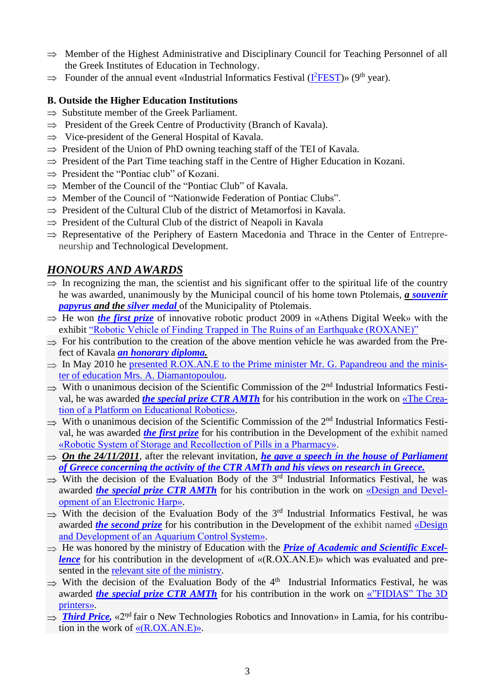- $\Rightarrow$  Member of the Highest Administrative and Disciplinary Council for Teaching Personnel of all the Greek Institutes of Education in Technology.
- $\Rightarrow$  Founder of the annual event «Industrial Informatics Festival ( $\frac{1^2FEST}{P}{\cdot}$ )» (9<sup>th</sup> year).

#### **Β. Outside the Higher Education Institutions**

- $\Rightarrow$  Substitute member of the Greek Parliament.
- $\Rightarrow$  President of the Greek Centre of Productivity (Branch of Kavala).
- $\Rightarrow$  Vice-president of the General Hospital of Kavala.
- $\Rightarrow$  President of the Union of PhD owning teaching staff of the TEI of Kavala.
- $\Rightarrow$  President of the Part Time teaching staff in the Centre of Higher Education in Kozani.
- $\Rightarrow$  President the "Pontiac club" of Kozani.
- $\Rightarrow$  Member of the Council of the "Pontiac Club" of Kavala.
- $\Rightarrow$  Member of the Council of "Nationwide Federation of Pontiac Clubs".
- $\Rightarrow$  President of the Cultural Club of the district of Metamorfosi in Kavala.
- $\Rightarrow$  President of the Cultural Club of the district of Neapoli in Kavala
- $\Rightarrow$  Representative of the Periphery of Eastern Macedonia and Thrace in the Center of Entrepreneurship and Technological Development.

# *HONOURS AND AWARDS*

- $\Rightarrow$  In recognizing the man, the scientist and his significant offer to the spiritual life of the country he was awarded, unanimously by the Municipal council of his home town Ptolemais, *a [souvenir](https://sites.google.com/site/dimpogaridis/papuros.JPG)  [papyrus](https://sites.google.com/site/dimpogaridis/papuros.JPG) and the [silver medal](https://sites.google.com/site/dimpogaridis/papuros1.JPG)* of the Municipality of Ptolemais.
- $\Rightarrow$  He won *[the first prize](https://sites.google.com/site/dimpogaridis/AthensDigital.JPG)* of innovative robotic product 2009 in «Athens Digital Week» with the exhibit ["Robotic Vehicle of Finding Trapped in The Ruins of an Earthquake \(ROXANE\)"](https://www.youtube.com/watch?v=e3mklrPl40M)
- $\Rightarrow$  For his contribution to the creation of the above mention vehicle he was awarded from the Prefect of Kavala *[an honorary diploma.](https://sites.google.com/site/dimpogaridis/nomarxisV3.jpg)*
- $\Rightarrow$  In May 2010 he [presented R.OX.AN.E to the Prime minister Mr. G. Papandreou and the minis](http://el.wikipedia.org/wiki/%CE%91%CF%81%CF%87%CE%B5%CE%AF%CE%BF:Papandreou.JPG)[ter of education Mrs. A. Diamantopoulou.](http://el.wikipedia.org/wiki/%CE%91%CF%81%CF%87%CE%B5%CE%AF%CE%BF:Papandreou.JPG)
- $\Rightarrow$  With o unanimous decision of the Scientific Commission of the 2<sup>nd</sup> Industrial Informatics Festival, he was awarded *[the special prize CTR AMTh](https://43b4cd94-a-62cb3a1a-s-sites.googlegroups.com/site/dimpogaridis/i2fest2012_02.JPG?attachauth=ANoY7cpGTWc2z3Nyc5dO0TyDGw0HMcU-ifOFuhg7TI3tuizvhK3IYnLI_qLfLfVsDCQQvvhjKJlfxHv1Dqm2Bi-B3BLaaZDDH48_7gSMQJt_y1eWZY_g3NfgT9D8f9d6VXKON0YNJ6DbIEmcOu6QRvu4z9jg1qZuQFRdhdGU_xdD85YOnWB5pDGZjKUsH1u6sJhOTXNEDtoOAazcMjhbaxJ5C0FmWp_xaA%3D%3D&attredirects=0)* for his contribution in the work on [«Τhe Crea](http://www.youtube.com/watch?v=oZ9PTzT09hc&list=UU7Wc2dQSp3JZfnZdNdSGWPg&index=45&feature=plcp)[tion of a Platform on Educational Robotics».](http://www.youtube.com/watch?v=oZ9PTzT09hc&list=UU7Wc2dQSp3JZfnZdNdSGWPg&index=45&feature=plcp)
- $\Rightarrow$  With o unanimous decision of the Scientific Commission of the 2<sup>nd</sup> Industrial Informatics Festival, he was awarded *[the first prize](https://43b4cd94-a-62cb3a1a-s-sites.googlegroups.com/site/dimpogaridis/i2fest2012_01.JPG?attachauth=ANoY7cpLRqYv-AEhL4pc27twJ2EMl74khsYmhC8KJeby3AfK9rW1Wu7UOJAEHJPOhP1M752vhC53d0v2WLCa4ZQKR3hb1r1OBgzg2a4BedS6juMt3mitYyEN8IX51rGESx3_4C1pDrZnVeaObgk0lEMSPhwe2Qy0AeX57TLPE_eRwkOP-0WqL_pg3Bjey9Gu-s1tWWoK4V-2tuHsT_ljQwbF3tPUDAuVZw%3D%3D&attredirects=0)* for his contribution in the Development of the exhibit named [«Robotic System of Storage and Recollection of Pills in a Pharmacy».](http://www.youtube.com/watch?v=v9rTly9Jyxs&list=UU7Wc2dQSp3JZfnZdNdSGWPg&index=49&feature=plcp)
- $\Rightarrow$  *On the 24/11/2011*, after the relevant invitation, *he gave a speech in the house of Parliament [of Greece concerning the activity of the CTR AMTh and his views on research in Greece.](http://www.youtube.com/watch?v=bjMGGkxZ85U)*
- $\Rightarrow$  With the decision of the Evaluation Body of the 3<sup>rd</sup> Industrial Informatics Festival, he was awarded *[the special prize CTR AMTh](https://43b4cd94-a-62cb3a1a-s-sites.googlegroups.com/site/dimpogaridis/i2fest2012_04.JPG?attachauth=ANoY7co1hsHp0Rr_b4JzZlttFVcbBFq3lMBWYTD3nKuL5TXXcE_J-4UnkavXbQRocI_D1xK1r_IdnU1gmLFrSg6LhBMBL4SMVJyEp7cwvc_c1H1coBieOZNyHvWN4VdxJF_1nFof4qCjKedGGnSYSEMHEfZeXkxx8ti_qOOjLZY_Xea2JazVDOE92yXEC855qX9lvmB5Y34en1Atu2G1U4DnfEEGLBOHCw%3D%3D&attredirects=0)* for his contribution in the work on [«Design and Devel](http://www.youtube.com/watch?v=b09z-fKK7_8&list=UU7Wc2dQSp3JZfnZdNdSGWPg&index=17&feature=plcp)[opment of an Electronic Harp».](http://www.youtube.com/watch?v=b09z-fKK7_8&list=UU7Wc2dQSp3JZfnZdNdSGWPg&index=17&feature=plcp)
- $\Rightarrow$  With the decision of the Evaluation Body of the 3<sup>rd</sup> Industrial Informatics Festival, he was awarded *[the second prize](https://43b4cd94-a-62cb3a1a-s-sites.googlegroups.com/site/dimpogaridis/i2fest2012_03.JPG?attachauth=ANoY7co614v3DPkdBGffqSMjcUKupyESq8DMfb6v_tq8jLUG12g0wQdeaakLacC_u4jx2wF9misaAaK3yU0taZZw5YYTE-VGm_9Awl4YvjKRTfSjY8jyVEANGFe-FfPkh67fQgyKKU4JJ5hbKgrKX3wtZjohdSEEkXnOlE1rTer77WihJjmp6OInipuzl3avUCoxmVp-vRsUKm-hr4RdplFGeDdr1kGBsg%3D%3D&attredirects=0)* for his contribution in the Development of the exhibit named [«Design](http://www.youtube.com/watch?v=8EnO9Un4c5k&list=UU7Wc2dQSp3JZfnZdNdSGWPg&index=16&feature=plcp)  [and Development of an Aquarium Control System».](http://www.youtube.com/watch?v=8EnO9Un4c5k&list=UU7Wc2dQSp3JZfnZdNdSGWPg&index=16&feature=plcp)
- $\Rightarrow$  He was honored by the ministry of Education with the *Prize [of Academic and Scientific Excel](https://43b4cd94-a-62cb3a1a-s-sites.googlegroups.com/site/dimpogaridis/aristeia.jpg?attachauth=ANoY7cr7I3a2h5A_HYZOJEgC1y_X1YGSn0X0pPa1GpbRKF5lMM73s-CeWYbfUpvVCZ_KL1xZiLye13Zion-ueQK6fyfs8Y5LFwkw0lYoKf_Qc-YCMt9Nt33OYcc8tNaeIpw6rvpHfgWvIOgh2ndgb_G3X7_As06SyQsGmPTh5zyJSgp3uPnZvBrMtZzkJOEaccPfmbFCOVrnu9_jyc1kwLI0xQgi0YJ-Ug%3D%3D&attredirects=1)[lence](https://43b4cd94-a-62cb3a1a-s-sites.googlegroups.com/site/dimpogaridis/aristeia.jpg?attachauth=ANoY7cr7I3a2h5A_HYZOJEgC1y_X1YGSn0X0pPa1GpbRKF5lMM73s-CeWYbfUpvVCZ_KL1xZiLye13Zion-ueQK6fyfs8Y5LFwkw0lYoKf_Qc-YCMt9Nt33OYcc8tNaeIpw6rvpHfgWvIOgh2ndgb_G3X7_As06SyQsGmPTh5zyJSgp3uPnZvBrMtZzkJOEaccPfmbFCOVrnu9_jyc1kwLI0xQgi0YJ-Ug%3D%3D&attredirects=1)* for his contribution in the development of «(R.OX.AN.E)» which was evaluated and presented in the [relevant site of the ministry.](http://excellence.minedu.gov.gr/listing/99-roxane)
- $\Rightarrow$  With the decision of the Evaluation Body of the 4<sup>th</sup> Industrial Informatics Festival, he was awarded *[the special prize CTR AMTh](https://43b4cd94-a-62cb3a1a-s-sites.googlegroups.com/site/dimpogaridis/i2fest2012_02.JPG?attachauth=ANoY7cpGTWc2z3Nyc5dO0TyDGw0HMcU-ifOFuhg7TI3tuizvhK3IYnLI_qLfLfVsDCQQvvhjKJlfxHv1Dqm2Bi-B3BLaaZDDH48_7gSMQJt_y1eWZY_g3NfgT9D8f9d6VXKON0YNJ6DbIEmcOu6QRvu4z9jg1qZuQFRdhdGU_xdD85YOnWB5pDGZjKUsH1u6sJhOTXNEDtoOAazcMjhbaxJ5C0FmWp_xaA%3D%3D&attredirects=0)* for his contribution in the work on [«"FIDIAS" The 3D](http://www.youtube.com/watch?v=rqgYd1zmh9Q)  [printers».](http://www.youtube.com/watch?v=rqgYd1zmh9Q)
- $\Rightarrow$  **[Third Price,](https://43b4cd94-a-62cb3a1a-s-sites.googlegroups.com/site/dimpogaridis/3o_vravio_roxane.jpg?attachauth=ANoY7co0TYox4M5du9OrLB2KgyrTz2YLXNmnRUlLn029A1q6W6PTBptxgGsoRZkzEDFfeHS_T43WMZuYYklfPIRAJpcNAdamFz8jviWeWUcDO4ep_9aVohiJa3sTmKQ5CyawIBBODj3nUETC2xjM4ZtqkxznMW4u0kogeNLn9PT_FH12JGazXvArreffMuk2tlJnkPYY6X8o0YiaVJdrGAZP3jx0bG_6pA%3D%3D&attredirects=1)** «2<sup>ηd</sup> fair o New Technologies Robotics and Innovation» in Lamia, for his contribution in the work of  $\langle (R.OX.AN.E) \rangle$ .